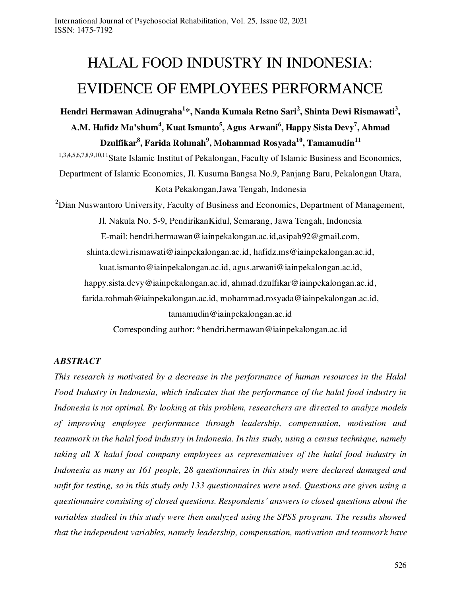# HALAL FOOD INDUSTRY IN INDONESIA: EVIDENCE OF EMPLOYEES PERFORMANCE

**Hendri Hermawan Adinugraha<sup>1</sup>** *\****, Nanda Kumala Retno Sari<sup>2</sup> , Shinta Dewi Rismawati<sup>3</sup> , A.M. Hafidz Ma'shum<sup>4</sup> , Kuat Ismanto<sup>5</sup> , Agus Arwani<sup>6</sup> , Happy Sista Devy<sup>7</sup> , Ahmad Dzulfikar<sup>8</sup> , Farida Rohmah<sup>9</sup> , Mohammad Rosyada<sup>10</sup> , Tamamudin<sup>11</sup>** 1,3,4,5,6,7,8,9,10,11State Islamic Institut of Pekalongan, Faculty of Islamic Business and Economics, Department of Islamic Economics, Jl. Kusuma Bangsa No.9, Panjang Baru, Pekalongan Utara, Kota Pekalongan,Jawa Tengah, Indonesia  $2$ Dian Nuswantoro University, Faculty of Business and Economics, Department of Management, Jl. Nakula No. 5-9, PendirikanKidul, Semarang, Jawa Tengah, Indonesia E-mail: [hendri.hermawan@iainpekalongan.ac.id](mailto:hendri.hermawan@iainpekalongan.ac.id*)[,asipah92@gmail.com,](mailto:asipah92@gmail.com) [shinta.dewi.rismawati@iainpekalongan.ac.id,](mailto:shinta.dewi.rismawati@iainpekalongan.ac.id) [hafidz.ms@iainpekalongan.ac.id,](mailto:hafidz.ms@iainpekalongan.ac.id) [kuat.ismanto@iainpekalongan.ac.id,](mailto:kuat.ismanto@iainpekalongan.ac.id) [agus.arwani@iainpekalongan.ac.id,](mailto:agus.arwani@iainpekalongan.ac.id) [happy.sista.devy@iainpekalongan.ac.id,](mailto:happy.sista.devy@iainpekalongan.ac.id) [ahmad.dzulfikar@iainpekalongan.ac.id,](mailto:ahmad.dzulfikar@iainpekalongan.ac.id) [farida.rohmah@iainpekalongan.ac.id,](mailto:farida.rohmah@iainpekalongan.ac.id) [mohammad.rosyada@iainpekalongan.ac.id,](mailto:mohammad.rosyada@iainpekalongan.ac.id) [tamamudin@i](mailto:tamamudin@)ainpekalongan.ac.id

Corresponding author: \*hendri.hermawan@iainpekalongan.ac.id

# *ABSTRACT*

*This research is motivated by a decrease in the performance of human resources in the Halal Food Industry in Indonesia, which indicates that the performance of the halal food industry in Indonesia is not optimal. By looking at this problem, researchers are directed to analyze models of improving employee performance through leadership, compensation, motivation and teamwork in the halal food industry in Indonesia. In this study, using a census technique, namely taking all X halal food company employees as representatives of the halal food industry in Indonesia as many as 161 people, 28 questionnaires in this study were declared damaged and unfit for testing, so in this study only 133 questionnaires were used. Questions are given using a questionnaire consisting of closed questions. Respondents' answers to closed questions about the variables studied in this study were then analyzed using the SPSS program. The results showed that the independent variables, namely leadership, compensation, motivation and teamwork have*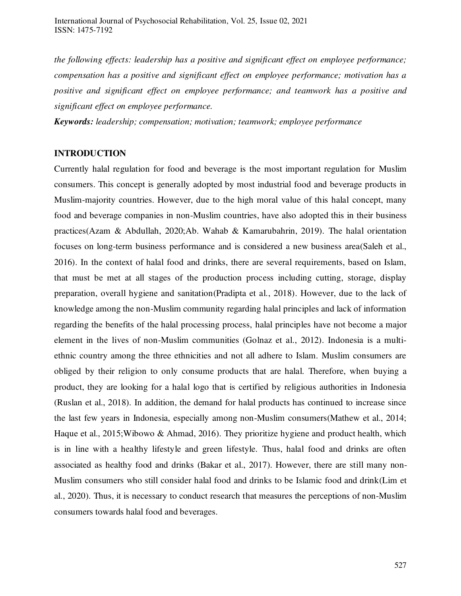*the following effects: leadership has a positive and significant effect on employee performance; compensation has a positive and significant effect on employee performance; motivation has a positive and significant effect on employee performance; and teamwork has a positive and significant effect on employee performance.* 

*Keywords: leadership; compensation; motivation; teamwork; employee performance* 

# **INTRODUCTION**

Currently halal regulation for food and beverage is the most important regulation for Muslim consumers. This concept is generally adopted by most industrial food and beverage products in Muslim-majority countries. However, due to the high moral value of this halal concept, many food and beverage companies in non-Muslim countries, have also adopted this in their business practices(Azam & Abdullah, 2020;Ab. Wahab & Kamarubahrin, 2019). The halal orientation focuses on long-term business performance and is considered a new business area(Saleh et al., 2016). In the context of halal food and drinks, there are several requirements, based on Islam, that must be met at all stages of the production process including cutting, storage, display preparation, overall hygiene and sanitation(Pradipta et al., 2018). However, due to the lack of knowledge among the non-Muslim community regarding halal principles and lack of information regarding the benefits of the halal processing process, halal principles have not become a major element in the lives of non-Muslim communities (Golnaz et al., 2012). Indonesia is a multiethnic country among the three ethnicities and not all adhere to Islam. Muslim consumers are obliged by their religion to only consume products that are halal. Therefore, when buying a product, they are looking for a halal logo that is certified by religious authorities in Indonesia (Ruslan et al., 2018). In addition, the demand for halal products has continued to increase since the last few years in Indonesia, especially among non-Muslim consumers(Mathew et al., 2014; Haque et al., 2015;Wibowo & Ahmad, 2016). They prioritize hygiene and product health, which is in line with a healthy lifestyle and green lifestyle. Thus, halal food and drinks are often associated as healthy food and drinks (Bakar et al., 2017). However, there are still many non-Muslim consumers who still consider halal food and drinks to be Islamic food and drink(Lim et al., 2020). Thus, it is necessary to conduct research that measures the perceptions of non-Muslim consumers towards halal food and beverages.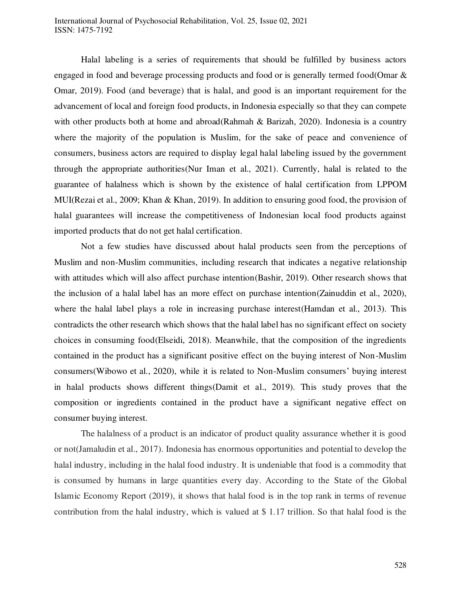# International Journal of Psychosocial Rehabilitation, Vol. 25, Issue 02, 2021 ISSN: 1475-7192

Halal labeling is a series of requirements that should be fulfilled by business actors engaged in food and beverage processing products and food or is generally termed food(Omar & Omar, 2019). Food (and beverage) that is halal, and good is an important requirement for the advancement of local and foreign food products, in Indonesia especially so that they can compete with other products both at home and abroad(Rahmah & Barizah, 2020). Indonesia is a country where the majority of the population is Muslim, for the sake of peace and convenience of consumers, business actors are required to display legal halal labeling issued by the government through the appropriate authorities(Nur Iman et al., 2021). Currently, halal is related to the guarantee of halalness which is shown by the existence of halal certification from LPPOM MUI(Rezai et al., 2009; Khan & Khan, 2019). In addition to ensuring good food, the provision of halal guarantees will increase the competitiveness of Indonesian local food products against imported products that do not get halal certification.

Not a few studies have discussed about halal products seen from the perceptions of Muslim and non-Muslim communities, including research that indicates a negative relationship with attitudes which will also affect purchase intention(Bashir, 2019). Other research shows that the inclusion of a halal label has an more effect on purchase intention(Zainuddin et al., 2020), where the halal label plays a role in increasing purchase interest(Hamdan et al., 2013). This contradicts the other research which shows that the halal label has no significant effect on society choices in consuming food(Elseidi, 2018). Meanwhile, that the composition of the ingredients contained in the product has a significant positive effect on the buying interest of Non-Muslim consumers(Wibowo et al., 2020), while it is related to Non-Muslim consumers' buying interest in halal products shows different things(Damit et al., 2019). This study proves that the composition or ingredients contained in the product have a significant negative effect on consumer buying interest.

The halalness of a product is an indicator of product quality assurance whether it is good or not(Jamaludin et al., 2017). Indonesia has enormous opportunities and potential to develop the halal industry, including in the halal food industry. It is undeniable that food is a commodity that is consumed by humans in large quantities every day. According to the State of the Global Islamic Economy Report (2019), it shows that halal food is in the top rank in terms of revenue contribution from the halal industry, which is valued at \$ 1.17 trillion. So that halal food is the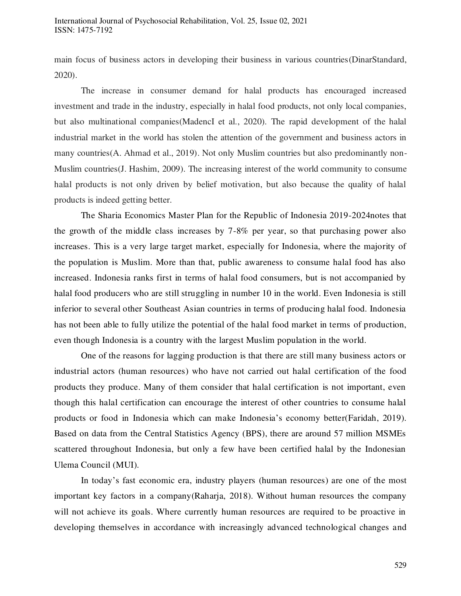main focus of business actors in developing their business in various countries(DinarStandard, 2020).

The increase in consumer demand for halal products has encouraged increased investment and trade in the industry, especially in halal food products, not only local companies, but also multinational companies(MadencI et al., 2020). The rapid development of the halal industrial market in the world has stolen the attention of the government and business actors in many countries(A. Ahmad et al., 2019). Not only Muslim countries but also predominantly non-Muslim countries(J. Hashim, 2009). The increasing interest of the world community to consume halal products is not only driven by belief motivation, but also because the quality of halal products is indeed getting better.

The Sharia Economics Master Plan for the Republic of Indonesia 2019-2024notes that the growth of the middle class increases by 7-8% per year, so that purchasing power also increases. This is a very large target market, especially for Indonesia, where the majority of the population is Muslim. More than that, public awareness to consume halal food has also increased. Indonesia ranks first in terms of halal food consumers, but is not accompanied by halal food producers who are still struggling in number 10 in the world. Even Indonesia is still inferior to several other Southeast Asian countries in terms of producing halal food. Indonesia has not been able to fully utilize the potential of the halal food market in terms of production, even though Indonesia is a country with the largest Muslim population in the world.

One of the reasons for lagging production is that there are still many business actors or industrial actors (human resources) who have not carried out halal certification of the food products they produce. Many of them consider that halal certification is not important, even though this halal certification can encourage the interest of other countries to consume halal products or food in Indonesia which can make Indonesia's economy better(Faridah, 2019). Based on data from the Central Statistics Agency (BPS), there are around 57 million MSMEs scattered throughout Indonesia, but only a few have been certified halal by the Indonesian Ulema Council (MUI).

In today's fast economic era, industry players (human resources) are one of the most important key factors in a company(Raharja, 2018). Without human resources the company will not achieve its goals. Where currently human resources are required to be proactive in developing themselves in accordance with increasingly advanced technological changes and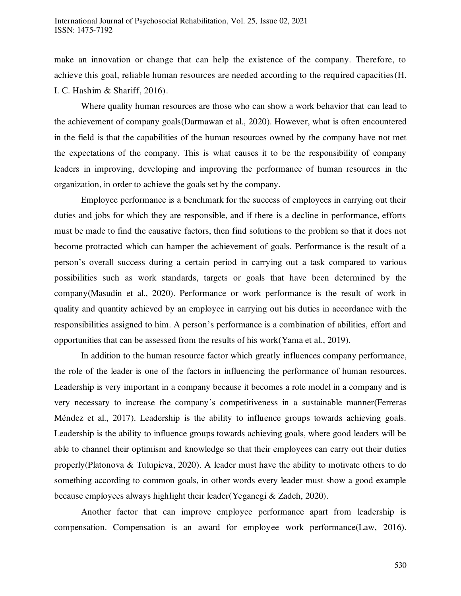make an innovation or change that can help the existence of the company. Therefore, to achieve this goal, reliable human resources are needed according to the required capacities(H. I. C. Hashim & Shariff, 2016).

Where quality human resources are those who can show a work behavior that can lead to the achievement of company goals(Darmawan et al., 2020). However, what is often encountered in the field is that the capabilities of the human resources owned by the company have not met the expectations of the company. This is what causes it to be the responsibility of company leaders in improving, developing and improving the performance of human resources in the organization, in order to achieve the goals set by the company.

Employee performance is a benchmark for the success of employees in carrying out their duties and jobs for which they are responsible, and if there is a decline in performance, efforts must be made to find the causative factors, then find solutions to the problem so that it does not become protracted which can hamper the achievement of goals. Performance is the result of a person's overall success during a certain period in carrying out a task compared to various possibilities such as work standards, targets or goals that have been determined by the company(Masudin et al., 2020). Performance or work performance is the result of work in quality and quantity achieved by an employee in carrying out his duties in accordance with the responsibilities assigned to him. A person's performance is a combination of abilities, effort and opportunities that can be assessed from the results of his work(Yama et al., 2019).

In addition to the human resource factor which greatly influences company performance, the role of the leader is one of the factors in influencing the performance of human resources. Leadership is very important in a company because it becomes a role model in a company and is very necessary to increase the company's competitiveness in a sustainable manner(Ferreras Méndez et al., 2017). Leadership is the ability to influence groups towards achieving goals. Leadership is the ability to influence groups towards achieving goals, where good leaders will be able to channel their optimism and knowledge so that their employees can carry out their duties properly(Platonova & Tulupieva, 2020). A leader must have the ability to motivate others to do something according to common goals, in other words every leader must show a good example because employees always highlight their leader(Yeganegi & Zadeh, 2020).

Another factor that can improve employee performance apart from leadership is compensation. Compensation is an award for employee work performance(Law, 2016).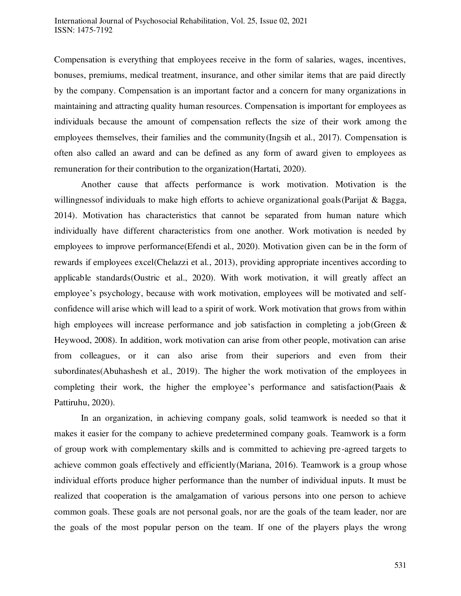Compensation is everything that employees receive in the form of salaries, wages, incentives, bonuses, premiums, medical treatment, insurance, and other similar items that are paid directly by the company. Compensation is an important factor and a concern for many organizations in maintaining and attracting quality human resources. Compensation is important for employees as individuals because the amount of compensation reflects the size of their work among the employees themselves, their families and the community(Ingsih et al., 2017). Compensation is often also called an award and can be defined as any form of award given to employees as remuneration for their contribution to the organization(Hartati, 2020).

Another cause that affects performance is work motivation. Motivation is the willingness of individuals to make high efforts to achieve organizational goals (Parijat & Bagga, 2014). Motivation has characteristics that cannot be separated from human nature which individually have different characteristics from one another. Work motivation is needed by employees to improve performance(Efendi et al., 2020). Motivation given can be in the form of rewards if employees excel(Chelazzi et al., 2013), providing appropriate incentives according to applicable standards(Oustric et al., 2020). With work motivation, it will greatly affect an employee's psychology, because with work motivation, employees will be motivated and selfconfidence will arise which will lead to a spirit of work. Work motivation that grows from within high employees will increase performance and job satisfaction in completing a job(Green & Heywood, 2008). In addition, work motivation can arise from other people, motivation can arise from colleagues, or it can also arise from their superiors and even from their subordinates(Abuhashesh et al., 2019). The higher the work motivation of the employees in completing their work, the higher the employee's performance and satisfaction(Paais  $\&$ Pattiruhu, 2020).

In an organization, in achieving company goals, solid teamwork is needed so that it makes it easier for the company to achieve predetermined company goals. Teamwork is a form of group work with complementary skills and is committed to achieving pre-agreed targets to achieve common goals effectively and efficiently(Mariana, 2016). Teamwork is a group whose individual efforts produce higher performance than the number of individual inputs. It must be realized that cooperation is the amalgamation of various persons into one person to achieve common goals. These goals are not personal goals, nor are the goals of the team leader, nor are the goals of the most popular person on the team. If one of the players plays the wrong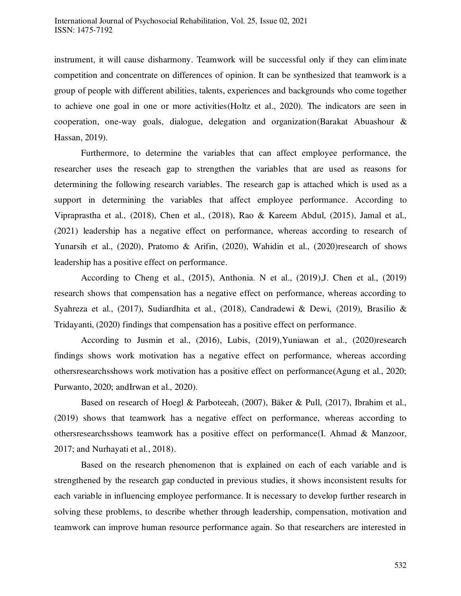instrument, it will cause disharmony. Teamwork will be successful only if they can elim inate competition and concentrate on differences of opinion. It can be synthesized that teamwork is a group of people with different abilities, talents, experiences and backgrounds who come together to achieve one goal in one or more activities(Holtz et al., 2020). The indicators are seen in cooperation, one-way goals, dialogue, delegation and organization(Barakat Abuashour & Hassan, 2019).

Furthermore, to determine the variables that can affect employee performance, the researcher uses the reseach gap to strengthen the variables that are used as reasons for determining the following research variables. The research gap is attached which is used as a support in determining the variables that affect employee performance. According to Vipraprastha et al., (2018), Chen et al., (2018), Rao & Kareem Abdul, (2015), Jamal et al., (2021) leadership has a negative effect on performance, whereas according to research of Yunarsih et al., (2020), Pratomo & Arifin, (2020), Wahidin et al., (2020)research of shows leadership has a positive effect on performance.

According to Cheng et al., (2015), Anthonia. N et al., (2019),J. Chen et al., (2019) research shows that compensation has a negative effect on performance, whereas according to Syahreza et al., (2017), Sudiardhita et al., (2018), Candradewi & Dewi, (2019), Brasilio & Tridayanti, (2020) findings that compensation has a positive effect on performance.

According to Jusmin et al., (2016), Lubis, (2019),Yuniawan et al., (2020)research findings shows work motivation has a negative effect on performance, whereas according othersresearchsshows work motivation has a positive effect on performance(Agung et al., 2020; Purwanto, 2020; andIrwan et al., 2020).

Based on research of Hoegl & Parboteeah, (2007), Bäker & Pull, (2017), Ibrahim et al., (2019) shows that teamwork has a negative effect on performance, whereas according to othersresearchsshows teamwork has a positive effect on performance(I. Ahmad & Manzoor, 2017; and Nurhayati et al., 2018).

Based on the research phenomenon that is explained on each of each variable and is strengthened by the research gap conducted in previous studies, it shows inconsistent results for each variable in influencing employee performance. It is necessary to develop further research in solving these problems, to describe whether through leadership, compensation, motivation and teamwork can improve human resource performance again. So that researchers are interested in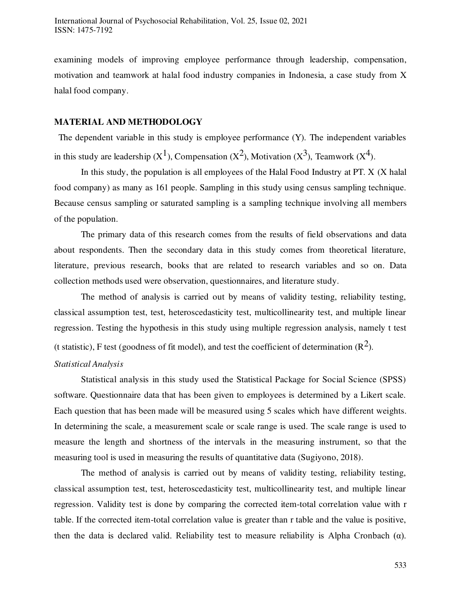examining models of improving employee performance through leadership, compensation, motivation and teamwork at halal food industry companies in Indonesia, a case study from X halal food company.

#### **MATERIAL AND METHODOLOGY**

 The dependent variable in this study is employee performance (Y). The independent variables in this study are leadership  $(X^1)$ , Compensation  $(X^2)$ , Motivation  $(X^3)$ , Teamwork  $(X^4)$ .

In this study, the population is all employees of the Halal Food Industry at PT. X (X halal food company) as many as 161 people. Sampling in this study using census sampling technique. Because census sampling or saturated sampling is a sampling technique involving all members of the population.

The primary data of this research comes from the results of field observations and data about respondents. Then the secondary data in this study comes from theoretical literature, literature, previous research, books that are related to research variables and so on. Data collection methods used were observation, questionnaires, and literature study.

The method of analysis is carried out by means of validity testing, reliability testing, classical assumption test, test, heteroscedasticity test, multicollinearity test, and multiple linear regression. Testing the hypothesis in this study using multiple regression analysis, namely t test (t statistic), F test (goodness of fit model), and test the coefficient of determination  $(R^2)$ .

#### *Statistical Analysis*

Statistical analysis in this study used the Statistical Package for Social Science (SPSS) software. Questionnaire data that has been given to employees is determined by a Likert scale. Each question that has been made will be measured using 5 scales which have different weights. In determining the scale, a measurement scale or scale range is used. The scale range is used to measure the length and shortness of the intervals in the measuring instrument, so that the measuring tool is used in measuring the results of quantitative data (Sugiyono, 2018).

The method of analysis is carried out by means of validity testing, reliability testing, classical assumption test, test, heteroscedasticity test, multicollinearity test, and multiple linear regression. Validity test is done by comparing the corrected item-total correlation value with r table. If the corrected item-total correlation value is greater than r table and the value is positive, then the data is declared valid. Reliability test to measure reliability is Alpha Cronbach ( $\alpha$ ).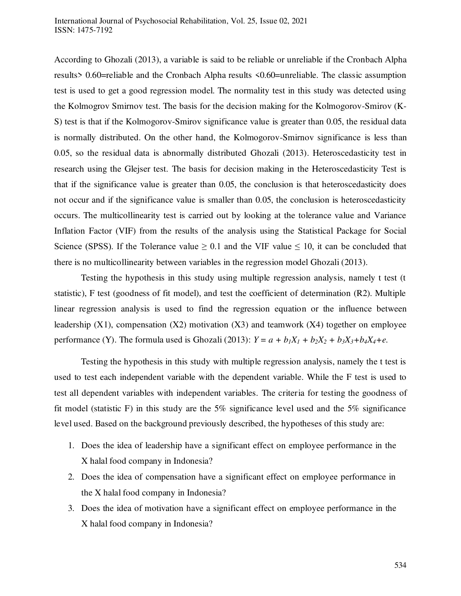According to Ghozali (2013), a variable is said to be reliable or unreliable if the Cronbach Alpha results> 0.60=reliable and the Cronbach Alpha results <0.60=unreliable. The classic assumption test is used to get a good regression model. The normality test in this study was detected using the Kolmogrov Smirnov test. The basis for the decision making for the Kolmogorov-Smirov (K-S) test is that if the Kolmogorov-Smirov significance value is greater than 0.05, the residual data is normally distributed. On the other hand, the Kolmogorov-Smirnov significance is less than 0.05, so the residual data is abnormally distributed Ghozali (2013). Heteroscedasticity test in research using the Glejser test. The basis for decision making in the Heteroscedasticity Test is that if the significance value is greater than 0.05, the conclusion is that heteroscedasticity does not occur and if the significance value is smaller than 0.05, the conclusion is heteroscedasticity occurs. The multicollinearity test is carried out by looking at the tolerance value and Variance Inflation Factor (VIF) from the results of the analysis using the Statistical Package for Social Science (SPSS). If the Tolerance value  $\geq 0.1$  and the VIF value  $\leq 10$ , it can be concluded that there is no multicollinearity between variables in the regression model Ghozali (2013).

Testing the hypothesis in this study using multiple regression analysis, namely t test (t statistic), F test (goodness of fit model), and test the coefficient of determination (R2). Multiple linear regression analysis is used to find the regression equation or the influence between leadership  $(X1)$ , compensation  $(X2)$  motivation  $(X3)$  and teamwork  $(X4)$  together on employee performance (Y). The formula used is Ghozali (2013):  $Y = a + b_1X_1 + b_2X_2 + b_3X_3 + b_4X_4 + e$ .

Testing the hypothesis in this study with multiple regression analysis, namely the t test is used to test each independent variable with the dependent variable. While the F test is used to test all dependent variables with independent variables. The criteria for testing the goodness of fit model (statistic F) in this study are the 5% significance level used and the 5% significance level used. Based on the background previously described, the hypotheses of this study are:

- 1. Does the idea of leadership have a significant effect on employee performance in the X halal food company in Indonesia?
- 2. Does the idea of compensation have a significant effect on employee performance in the X halal food company in Indonesia?
- 3. Does the idea of motivation have a significant effect on employee performance in the X halal food company in Indonesia?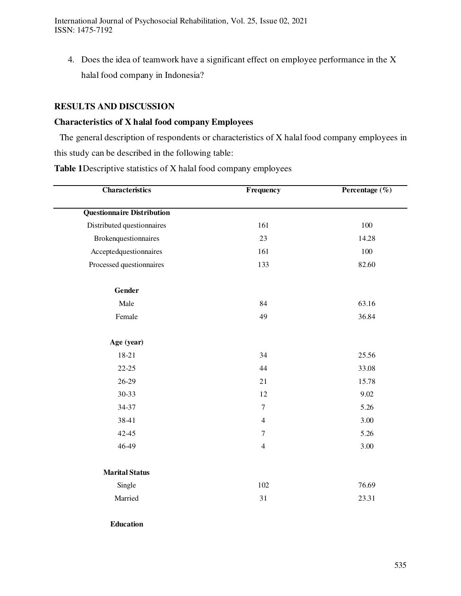International Journal of Psychosocial Rehabilitation, Vol. 25, Issue 02, 2021 ISSN: 1475-7192

4. Does the idea of teamwork have a significant effect on employee performance in the X halal food company in Indonesia?

# **RESULTS AND DISCUSSION**

# **Characteristics of X halal food company Employees**

The general description of respondents or characteristics of X halal food company employees in this study can be described in the following table:

**Table 1**Descriptive statistics of X halal food company employees

| <b>Characteristics</b>            | Frequency        | Percentage $(\%)$            |  |
|-----------------------------------|------------------|------------------------------|--|
| <b>Questionnaire Distribution</b> |                  |                              |  |
| Distributed questionnaires        | 161              | 100                          |  |
| Brokenquestionnaires              | 23               | 14.28                        |  |
| Acceptedquestionnaires            | 161              | 100                          |  |
| Processed questionnaires          | 133              | 82.60                        |  |
| Gender                            |                  |                              |  |
| Male                              | 84               | 63.16                        |  |
| Female                            | 49               | 36.84                        |  |
| Age (year)                        |                  |                              |  |
| 18-21                             | 34               | 25.56                        |  |
| 22-25                             | 44               | 33.08                        |  |
| 26-29                             | 21               | 15.78                        |  |
| 30-33                             | 12               | 9.02<br>5.26<br>3.00<br>5.26 |  |
| 34-37                             | $\tau$           |                              |  |
| 38-41                             | $\overline{4}$   |                              |  |
| $42 - 45$                         | $\boldsymbol{7}$ |                              |  |
| 46-49                             | $\overline{4}$   | 3.00                         |  |
| <b>Marital Status</b>             |                  |                              |  |
| Single                            | 102              | 76.69                        |  |
| Married                           | 31               | 23.31                        |  |
| <b>Education</b>                  |                  |                              |  |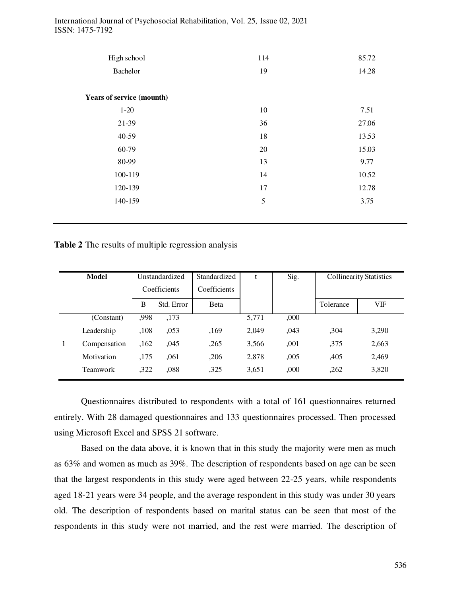| High school                      | 114 | 85.72 |  |
|----------------------------------|-----|-------|--|
| Bachelor                         | 19  | 14.28 |  |
| <b>Years of service (mounth)</b> |     |       |  |
| $1 - 20$                         | 10  | 7.51  |  |
| 21-39                            | 36  | 27.06 |  |
| 40-59                            | 18  | 13.53 |  |
| 60-79                            | 20  | 15.03 |  |
| 80-99                            | 13  | 9.77  |  |
| 100-119                          | 14  | 10.52 |  |
| 120-139                          | 17  | 12.78 |  |
| 140-159                          | 5   | 3.75  |  |
|                                  |     |       |  |

International Journal of Psychosocial Rehabilitation, Vol. 25, Issue 02, 2021 ISSN: 1475-7192

**Table 2** The results of multiple regression analysis

| <b>Model</b><br>Unstandardized |              | Standardized |              | Sig.  | <b>Collinearity Statistics</b> |           |       |
|--------------------------------|--------------|--------------|--------------|-------|--------------------------------|-----------|-------|
|                                | Coefficients |              | Coefficients |       |                                |           |       |
|                                | В            | Std. Error   | <b>B</b> eta |       |                                | Tolerance | VIF   |
| (Constant)                     | ,998         | ,173         |              | 5,771 | ,000                           |           |       |
| Leadership                     | ,108         | ,053         | ,169         | 2,049 | ,043                           | ,304      | 3,290 |
| Compensation                   | ,162         | ,045         | ,265         | 3,566 | ,001                           | ,375      | 2,663 |
| Motivation                     | ,175         | .061         | ,206         | 2,878 | ,005                           | ,405      | 2,469 |
| <b>Teamwork</b>                | ,322         | ,088         | ,325         | 3,651 | ,000                           | ,262      | 3,820 |
|                                |              |              |              |       |                                |           |       |

Questionnaires distributed to respondents with a total of 161 questionnaires returned entirely. With 28 damaged questionnaires and 133 questionnaires processed. Then processed using Microsoft Excel and SPSS 21 software.

Based on the data above, it is known that in this study the majority were men as much as 63% and women as much as 39%. The description of respondents based on age can be seen that the largest respondents in this study were aged between 22-25 years, while respondents aged 18-21 years were 34 people, and the average respondent in this study was under 30 years old. The description of respondents based on marital status can be seen that most of the respondents in this study were not married, and the rest were married. The description of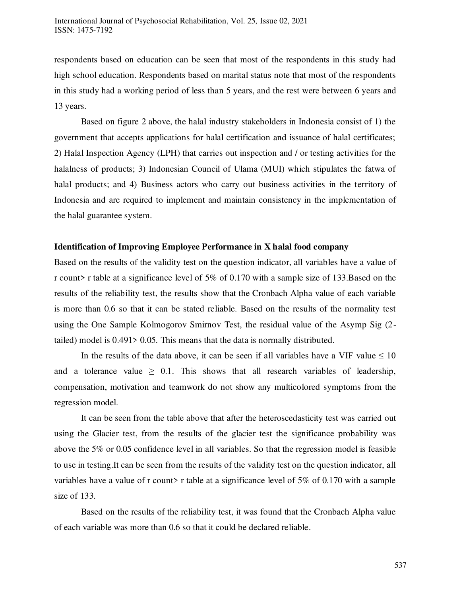respondents based on education can be seen that most of the respondents in this study had high school education. Respondents based on marital status note that most of the respondents in this study had a working period of less than 5 years, and the rest were between 6 years and 13 years.

Based on figure 2 above, the halal industry stakeholders in Indonesia consist of 1) the government that accepts applications for halal certification and issuance of halal certificates; 2) Halal Inspection Agency (LPH) that carries out inspection and / or testing activities for the halalness of products; 3) Indonesian Council of Ulama (MUI) which stipulates the fatwa of halal products; and 4) Business actors who carry out business activities in the territory of Indonesia and are required to implement and maintain consistency in the implementation of the halal guarantee system.

#### **Identification of Improving Employee Performance in X halal food company**

Based on the results of the validity test on the question indicator, all variables have a value of r count> r table at a significance level of 5% of 0.170 with a sample size of 133.Based on the results of the reliability test, the results show that the Cronbach Alpha value of each variable is more than 0.6 so that it can be stated reliable. Based on the results of the normality test using the One Sample Kolmogorov Smirnov Test, the residual value of the Asymp Sig (2 tailed) model is 0.491> 0.05. This means that the data is normally distributed.

In the results of the data above, it can be seen if all variables have a VIF value  $\leq 10$ and a tolerance value  $\geq 0.1$ . This shows that all research variables of leadership, compensation, motivation and teamwork do not show any multicolored symptoms from the regression model.

It can be seen from the table above that after the heteroscedasticity test was carried out using the Glacier test, from the results of the glacier test the significance probability was above the 5% or 0.05 confidence level in all variables. So that the regression model is feasible to use in testing.It can be seen from the results of the validity test on the question indicator, all variables have a value of r count> r table at a significance level of  $5\%$  of 0.170 with a sample size of 133.

Based on the results of the reliability test, it was found that the Cronbach Alpha value of each variable was more than 0.6 so that it could be declared reliable.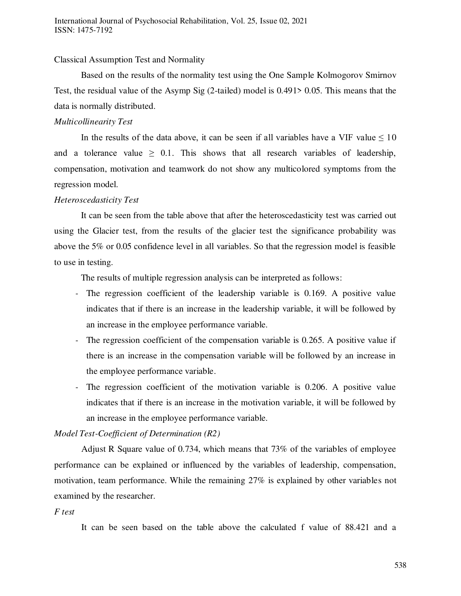# Classical Assumption Test and Normality

Based on the results of the normality test using the One Sample Kolmogorov Smirnov Test, the residual value of the Asymp Sig (2-tailed) model is 0.491> 0.05. This means that the data is normally distributed.

#### *Multicollinearity Test*

In the results of the data above, it can be seen if all variables have a VIF value  $\leq 10$ and a tolerance value  $\geq 0.1$ . This shows that all research variables of leadership, compensation, motivation and teamwork do not show any multicolored symptoms from the regression model.

#### *Heteroscedasticity Test*

It can be seen from the table above that after the heteroscedasticity test was carried out using the Glacier test, from the results of the glacier test the significance probability was above the 5% or 0.05 confidence level in all variables. So that the regression model is feasible to use in testing.

The results of multiple regression analysis can be interpreted as follows:

- The regression coefficient of the leadership variable is 0.169. A positive value indicates that if there is an increase in the leadership variable, it will be followed by an increase in the employee performance variable.
- The regression coefficient of the compensation variable is 0.265. A positive value if there is an increase in the compensation variable will be followed by an increase in the employee performance variable.
- The regression coefficient of the motivation variable is 0.206. A positive value indicates that if there is an increase in the motivation variable, it will be followed by an increase in the employee performance variable.

#### *Model Test-Coefficient of Determination (R2)*

Adjust R Square value of 0.734, which means that 73% of the variables of employee performance can be explained or influenced by the variables of leadership, compensation, motivation, team performance. While the remaining 27% is explained by other variables not examined by the researcher.

#### *F test*

It can be seen based on the table above the calculated f value of 88.421 and a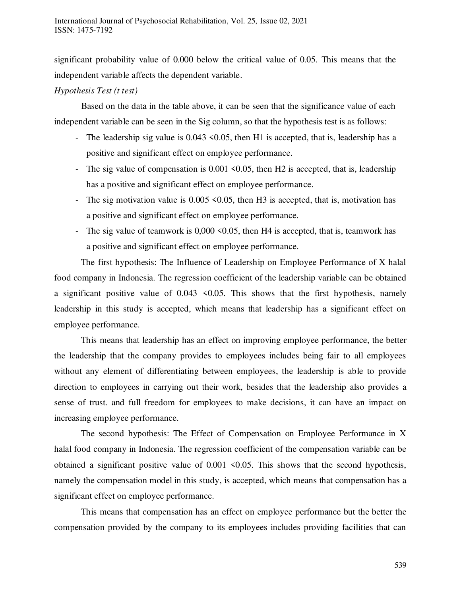significant probability value of 0.000 below the critical value of 0.05. This means that the independent variable affects the dependent variable.

# *Hypothesis Test (t test)*

Based on the data in the table above, it can be seen that the significance value of each independent variable can be seen in the Sig column, so that the hypothesis test is as follows:

- The leadership sig value is 0.043 <0.05, then H1 is accepted, that is, leadership has a positive and significant effect on employee performance.
- The sig value of compensation is  $0.001 \leq 0.05$ , then H2 is accepted, that is, leadership has a positive and significant effect on employee performance.
- The sig motivation value is  $0.005 \le 0.05$ , then H3 is accepted, that is, motivation has a positive and significant effect on employee performance.
- The sig value of teamwork is 0,000 < 0.05, then H4 is accepted, that is, teamwork has a positive and significant effect on employee performance.

The first hypothesis: The Influence of Leadership on Employee Performance of X halal food company in Indonesia. The regression coefficient of the leadership variable can be obtained a significant positive value of  $0.043 \le 0.05$ . This shows that the first hypothesis, namely leadership in this study is accepted, which means that leadership has a significant effect on employee performance.

This means that leadership has an effect on improving employee performance, the better the leadership that the company provides to employees includes being fair to all employees without any element of differentiating between employees, the leadership is able to provide direction to employees in carrying out their work, besides that the leadership also provides a sense of trust. and full freedom for employees to make decisions, it can have an impact on increasing employee performance.

The second hypothesis: The Effect of Compensation on Employee Performance in X halal food company in Indonesia. The regression coefficient of the compensation variable can be obtained a significant positive value of  $0.001 \le 0.05$ . This shows that the second hypothesis, namely the compensation model in this study, is accepted, which means that compensation has a significant effect on employee performance.

This means that compensation has an effect on employee performance but the better the compensation provided by the company to its employees includes providing facilities that can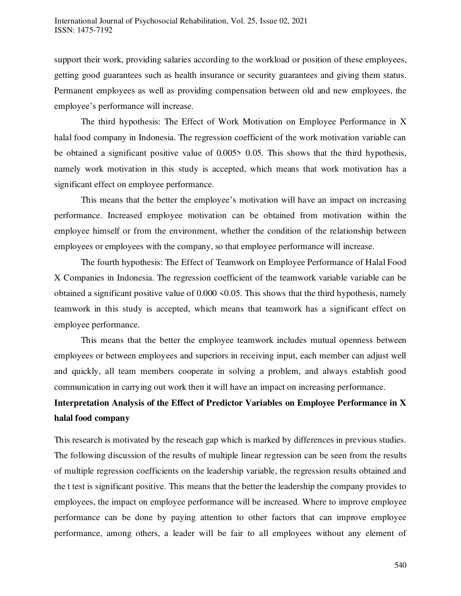support their work, providing salaries according to the workload or position of these employees, getting good guarantees such as health insurance or security guarantees and giving them status. Permanent employees as well as providing compensation between old and new employees, the employee's performance will increase.

The third hypothesis: The Effect of Work Motivation on Employee Performance in X halal food company in Indonesia. The regression coefficient of the work motivation variable can be obtained a significant positive value of 0.005> 0.05. This shows that the third hypothesis, namely work motivation in this study is accepted, which means that work motivation has a significant effect on employee performance.

This means that the better the employee's motivation will have an impact on increasing performance. Increased employee motivation can be obtained from motivation within the employee himself or from the environment, whether the condition of the relationship between employees or employees with the company, so that employee performance will increase.

The fourth hypothesis: The Effect of Teamwork on Employee Performance of Halal Food X Companies in Indonesia. The regression coefficient of the teamwork variable variable can be obtained a significant positive value of  $0.000 \le 0.05$ . This shows that the third hypothesis, namely teamwork in this study is accepted, which means that teamwork has a significant effect on employee performance.

This means that the better the employee teamwork includes mutual openness between employees or between employees and superiors in receiving input, each member can adjust well and quickly, all team members cooperate in solving a problem, and always establish good communication in carrying out work then it will have an impact on increasing performance.

# **Interpretation Analysis of the Effect of Predictor Variables on Employee Performance in X halal food company**

This research is motivated by the reseach gap which is marked by differences in previous studies. The following discussion of the results of multiple linear regression can be seen from the results of multiple regression coefficients on the leadership variable, the regression results obtained and the t test is significant positive. This means that the better the leadership the company provides to employees, the impact on employee performance will be increased. Where to improve employee performance can be done by paying attention to other factors that can improve employee performance, among others, a leader will be fair to all employees without any element of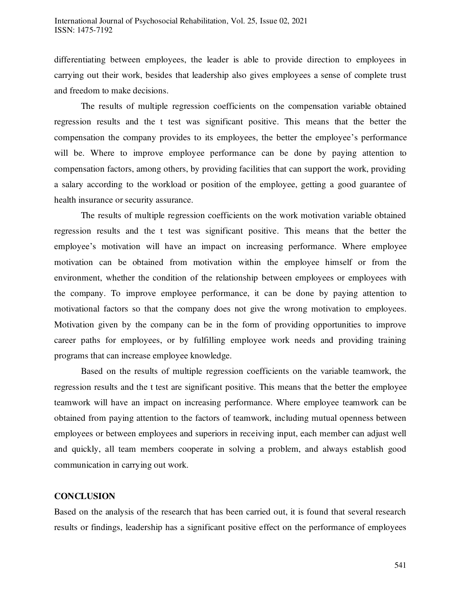differentiating between employees, the leader is able to provide direction to employees in carrying out their work, besides that leadership also gives employees a sense of complete trust and freedom to make decisions.

The results of multiple regression coefficients on the compensation variable obtained regression results and the t test was significant positive. This means that the better the compensation the company provides to its employees, the better the employee's performance will be. Where to improve employee performance can be done by paying attention to compensation factors, among others, by providing facilities that can support the work, providing a salary according to the workload or position of the employee, getting a good guarantee of health insurance or security assurance.

The results of multiple regression coefficients on the work motivation variable obtained regression results and the t test was significant positive. This means that the better the employee's motivation will have an impact on increasing performance. Where employee motivation can be obtained from motivation within the employee himself or from the environment, whether the condition of the relationship between employees or employees with the company. To improve employee performance, it can be done by paying attention to motivational factors so that the company does not give the wrong motivation to employees. Motivation given by the company can be in the form of providing opportunities to improve career paths for employees, or by fulfilling employee work needs and providing training programs that can increase employee knowledge.

Based on the results of multiple regression coefficients on the variable teamwork, the regression results and the t test are significant positive. This means that the better the employee teamwork will have an impact on increasing performance. Where employee teamwork can be obtained from paying attention to the factors of teamwork, including mutual openness between employees or between employees and superiors in receiving input, each member can adjust well and quickly, all team members cooperate in solving a problem, and always establish good communication in carrying out work.

# **CONCLUSION**

Based on the analysis of the research that has been carried out, it is found that several research results or findings, leadership has a significant positive effect on the performance of employees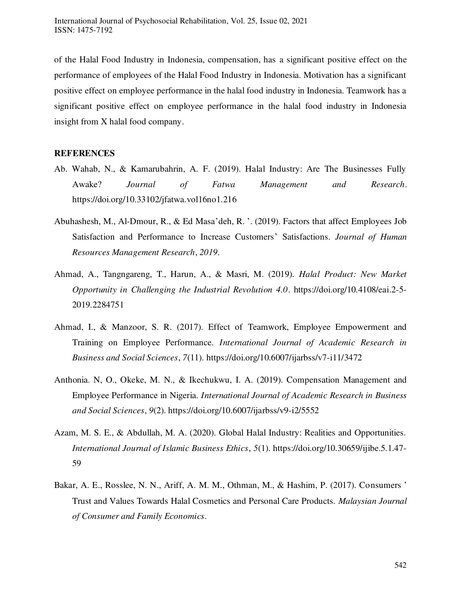of the Halal Food Industry in Indonesia, compensation, has a significant positive effect on the performance of employees of the Halal Food Industry in Indonesia. Motivation has a significant positive effect on employee performance in the halal food industry in Indonesia. Teamwork has a significant positive effect on employee performance in the halal food industry in Indonesia insight from X halal food company.

#### **REFERENCES**

- Ab. Wahab, N., & Kamarubahrin, A. F. (2019). Halal Industry: Are The Businesses Fully Awake? *Journal of Fatwa Management and Research*. https://doi.org/10.33102/jfatwa.vol16no1.216
- Abuhashesh, M., Al-Dmour, R., & Ed Masa'deh, R. '. (2019). Factors that affect Employees Job Satisfaction and Performance to Increase Customers' Satisfactions. *Journal of Human Resources Management Research*, *2019*.
- Ahmad, A., Tangngareng, T., Harun, A., & Masri, M. (2019). *Halal Product: New Market Opportunity in Challenging the Industrial Revolution 4.0*. https://doi.org/10.4108/eai.2-5- 2019.2284751
- Ahmad, I., & Manzoor, S. R. (2017). Effect of Teamwork, Employee Empowerment and Training on Employee Performance. *International Journal of Academic Research in Business and Social Sciences*, *7*(11). https://doi.org/10.6007/ijarbss/v7-i11/3472
- Anthonia. N, O., Okeke, M. N., & Ikechukwu, I. A. (2019). Compensation Management and Employee Performance in Nigeria. *International Journal of Academic Research in Business and Social Sciences*, *9*(2). https://doi.org/10.6007/ijarbss/v9-i2/5552
- Azam, M. S. E., & Abdullah, M. A. (2020). Global Halal Industry: Realities and Opportunities. *International Journal of Islamic Business Ethics*, *5*(1). https://doi.org/10.30659/ijibe.5.1.47- 59
- Bakar, A. E., Rosslee, N. N., Ariff, A. M. M., Othman, M., & Hashim, P. (2017). Consumers ' Trust and Values Towards Halal Cosmetics and Personal Care Products. *Malaysian Journal of Consumer and Family Economics*.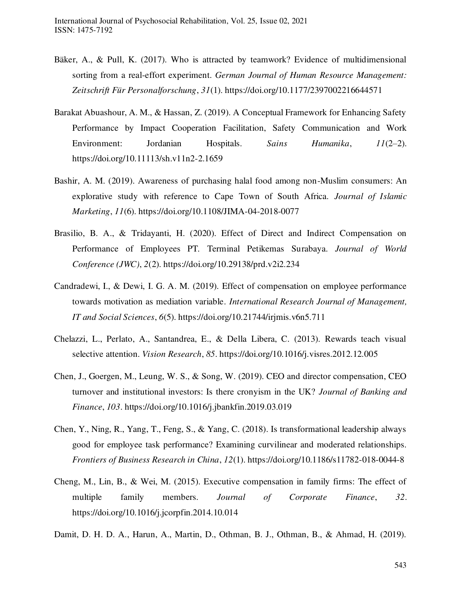- Bäker, A., & Pull, K. (2017). Who is attracted by teamwork? Evidence of multidimensional sorting from a real-effort experiment. *German Journal of Human Resource Management: Zeitschrift Für Personalforschung*, *31*(1). https://doi.org/10.1177/2397002216644571
- Barakat Abuashour, A. M., & Hassan, Z. (2019). A Conceptual Framework for Enhancing Safety Performance by Impact Cooperation Facilitation, Safety Communication and Work Environment: Jordanian Hospitals. *Sains Humanika*, *11*(2–2). https://doi.org/10.11113/sh.v11n2-2.1659
- Bashir, A. M. (2019). Awareness of purchasing halal food among non-Muslim consumers: An explorative study with reference to Cape Town of South Africa. *Journal of Islamic Marketing*, *11*(6). https://doi.org/10.1108/JIMA-04-2018-0077
- Brasilio, B. A., & Tridayanti, H. (2020). Effect of Direct and Indirect Compensation on Performance of Employees PT. Terminal Petikemas Surabaya. *Journal of World Conference (JWC)*, *2*(2). https://doi.org/10.29138/prd.v2i2.234
- Candradewi, I., & Dewi, I. G. A. M. (2019). Effect of compensation on employee performance towards motivation as mediation variable. *International Research Journal of Management, IT and Social Sciences*, *6*(5). https://doi.org/10.21744/irjmis.v6n5.711
- Chelazzi, L., Perlato, A., Santandrea, E., & Della Libera, C. (2013). Rewards teach visual selective attention. *Vision Research*, *85*. https://doi.org/10.1016/j.visres.2012.12.005
- Chen, J., Goergen, M., Leung, W. S., & Song, W. (2019). CEO and director compensation, CEO turnover and institutional investors: Is there cronyism in the UK? *Journal of Banking and Finance*, *103*. https://doi.org/10.1016/j.jbankfin.2019.03.019
- Chen, Y., Ning, R., Yang, T., Feng, S., & Yang, C. (2018). Is transformational leadership always good for employee task performance? Examining curvilinear and moderated relationships. *Frontiers of Business Research in China*, *12*(1). https://doi.org/10.1186/s11782-018-0044-8
- Cheng, M., Lin, B., & Wei, M. (2015). Executive compensation in family firms: The effect of multiple family members. *Journal of Corporate Finance*, *32*. https://doi.org/10.1016/j.jcorpfin.2014.10.014
- Damit, D. H. D. A., Harun, A., Martin, D., Othman, B. J., Othman, B., & Ahmad, H. (2019).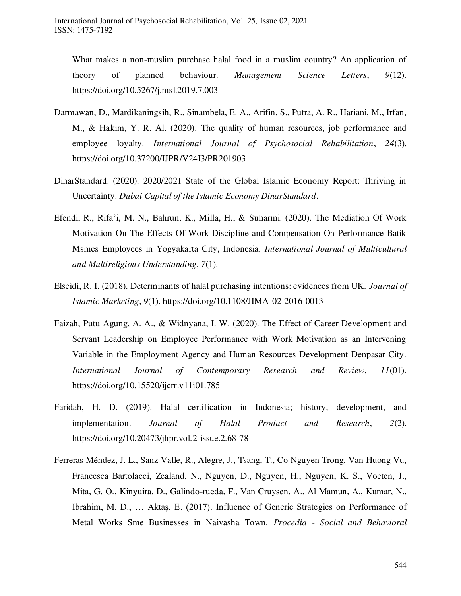What makes a non-muslim purchase halal food in a muslim country? An application of theory of planned behaviour. *Management Science Letters*, *9*(12). https://doi.org/10.5267/j.msl.2019.7.003

- Darmawan, D., Mardikaningsih, R., Sinambela, E. A., Arifin, S., Putra, A. R., Hariani, M., Irfan, M., & Hakim, Y. R. Al. (2020). The quality of human resources, job performance and employee loyalty. *International Journal of Psychosocial Rehabilitation*, *24*(3). https://doi.org/10.37200/IJPR/V24I3/PR201903
- DinarStandard. (2020). 2020/2021 State of the Global Islamic Economy Report: Thriving in Uncertainty. *Dubai Capital of the Islamic Economy DinarStandard*.
- Efendi, R., Rifa'i, M. N., Bahrun, K., Milla, H., & Suharmi. (2020). The Mediation Of Work Motivation On The Effects Of Work Discipline and Compensation On Performance Batik Msmes Employees in Yogyakarta City, Indonesia. *International Journal of Multicultural and Multireligious Understanding*, *7*(1).
- Elseidi, R. I. (2018). Determinants of halal purchasing intentions: evidences from UK. *Journal of Islamic Marketing*, *9*(1). https://doi.org/10.1108/JIMA-02-2016-0013
- Faizah, Putu Agung, A. A., & Widnyana, I. W. (2020). The Effect of Career Development and Servant Leadership on Employee Performance with Work Motivation as an Intervening Variable in the Employment Agency and Human Resources Development Denpasar City. *International Journal of Contemporary Research and Review*, *11*(01). https://doi.org/10.15520/ijcrr.v11i01.785
- Faridah, H. D. (2019). Halal certification in Indonesia; history, development, and implementation. *Journal of Halal Product and Research*, *2*(2). https://doi.org/10.20473/jhpr.vol.2-issue.2.68-78
- Ferreras Méndez, J. L., Sanz Valle, R., Alegre, J., Tsang, T., Co Nguyen Trong, Van Huong Vu, Francesca Bartolacci, Zealand, N., Nguyen, D., Nguyen, H., Nguyen, K. S., Voeten, J., Mita, G. O., Kinyuira, D., Galindo-rueda, F., Van Cruysen, A., Al Mamun, A., Kumar, N., Ibrahim, M. D., … Aktaş, E. (2017). Influence of Generic Strategies on Performance of Metal Works Sme Businesses in Naivasha Town. *Procedia - Social and Behavioral*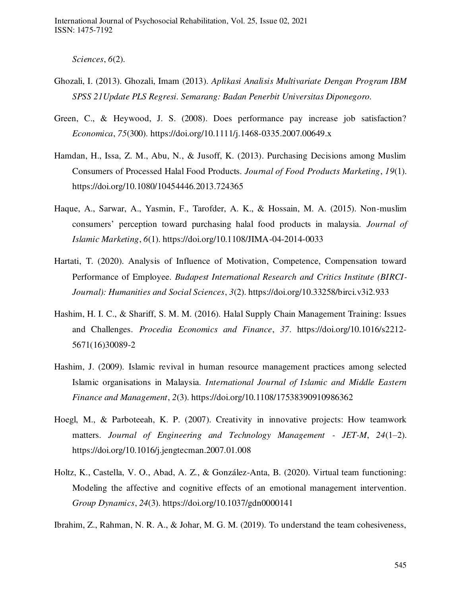*Sciences*, *6*(2).

- Ghozali, I. (2013). Ghozali, Imam (2013). *Aplikasi Analisis Multivariate Dengan Program IBM SPSS 21Update PLS Regresi. Semarang: Badan Penerbit Universitas Diponegoro.*
- Green, C., & Heywood, J. S. (2008). Does performance pay increase job satisfaction? *Economica*, *75*(300). https://doi.org/10.1111/j.1468-0335.2007.00649.x
- Hamdan, H., Issa, Z. M., Abu, N., & Jusoff, K. (2013). Purchasing Decisions among Muslim Consumers of Processed Halal Food Products. *Journal of Food Products Marketing*, *19*(1). https://doi.org/10.1080/10454446.2013.724365
- Haque, A., Sarwar, A., Yasmin, F., Tarofder, A. K., & Hossain, M. A. (2015). Non-muslim consumers' perception toward purchasing halal food products in malaysia. *Journal of Islamic Marketing*, *6*(1). https://doi.org/10.1108/JIMA-04-2014-0033
- Hartati, T. (2020). Analysis of Influence of Motivation, Competence, Compensation toward Performance of Employee. *Budapest International Research and Critics Institute (BIRCI-Journal): Humanities and Social Sciences*, *3*(2). https://doi.org/10.33258/birci.v3i2.933
- Hashim, H. I. C., & Shariff, S. M. M. (2016). Halal Supply Chain Management Training: Issues and Challenges. *Procedia Economics and Finance*, *37*. https://doi.org/10.1016/s2212- 5671(16)30089-2
- Hashim, J. (2009). Islamic revival in human resource management practices among selected Islamic organisations in Malaysia. *International Journal of Islamic and Middle Eastern Finance and Management*, *2*(3). https://doi.org/10.1108/17538390910986362
- Hoegl, M., & Parboteeah, K. P. (2007). Creativity in innovative projects: How teamwork matters. *Journal of Engineering and Technology Management - JET-M*, *24*(1–2). https://doi.org/10.1016/j.jengtecman.2007.01.008
- Holtz, K., Castella, V. O., Abad, A. Z., & González-Anta, B. (2020). Virtual team functioning: Modeling the affective and cognitive effects of an emotional management intervention. *Group Dynamics*, *24*(3). https://doi.org/10.1037/gdn0000141
- Ibrahim, Z., Rahman, N. R. A., & Johar, M. G. M. (2019). To understand the team cohesiveness,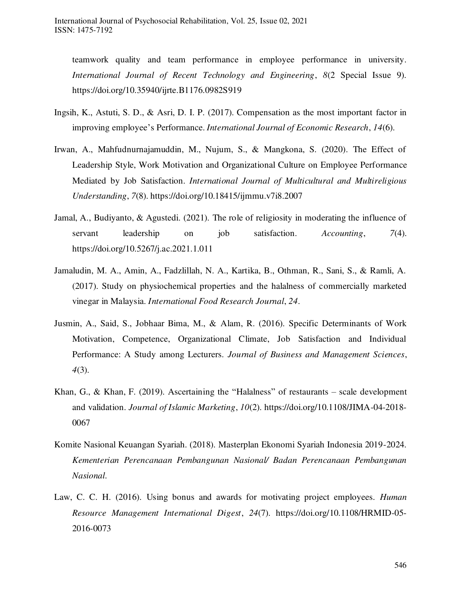teamwork quality and team performance in employee performance in university. *International Journal of Recent Technology and Engineering*, *8*(2 Special Issue 9). https://doi.org/10.35940/ijrte.B1176.0982S919

- Ingsih, K., Astuti, S. D., & Asri, D. I. P. (2017). Compensation as the most important factor in improving employee's Performance. *International Journal of Economic Research*, *14*(6).
- Irwan, A., Mahfudnurnajamuddin, M., Nujum, S., & Mangkona, S. (2020). The Effect of Leadership Style, Work Motivation and Organizational Culture on Employee Performance Mediated by Job Satisfaction. *International Journal of Multicultural and Multireligious Understanding*, *7*(8). https://doi.org/10.18415/ijmmu.v7i8.2007
- Jamal, A., Budiyanto, & Agustedi. (2021). The role of religiosity in moderating the influence of servant leadership on job satisfaction. *Accounting*, *7*(4). https://doi.org/10.5267/j.ac.2021.1.011
- Jamaludin, M. A., Amin, A., Fadzlillah, N. A., Kartika, B., Othman, R., Sani, S., & Ramli, A. (2017). Study on physiochemical properties and the halalness of commercially marketed vinegar in Malaysia. *International Food Research Journal*, *24*.
- Jusmin, A., Said, S., Jobhaar Bima, M., & Alam, R. (2016). Specific Determinants of Work Motivation, Competence, Organizational Climate, Job Satisfaction and Individual Performance: A Study among Lecturers. *Journal of Business and Management Sciences*, *4*(3).
- Khan, G., & Khan, F. (2019). Ascertaining the "Halalness" of restaurants scale development and validation. *Journal of Islamic Marketing*, *10*(2). https://doi.org/10.1108/JIMA-04-2018- 0067
- Komite Nasional Keuangan Syariah. (2018). Masterplan Ekonomi Syariah Indonesia 2019-2024. *Kementerian Perencanaan Pembangunan Nasional/ Badan Perencanaan Pembangunan Nasional*.
- Law, C. C. H. (2016). Using bonus and awards for motivating project employees. *Human Resource Management International Digest*, *24*(7). https://doi.org/10.1108/HRMID-05- 2016-0073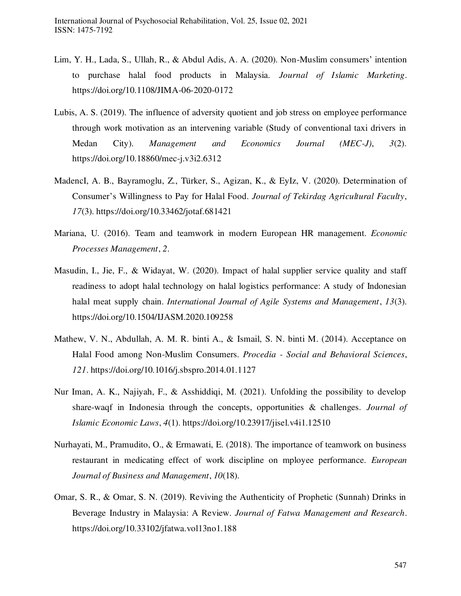- Lim, Y. H., Lada, S., Ullah, R., & Abdul Adis, A. A. (2020). Non-Muslim consumers' intention to purchase halal food products in Malaysia. *Journal of Islamic Marketing*. https://doi.org/10.1108/JIMA-06-2020-0172
- Lubis, A. S. (2019). The influence of adversity quotient and job stress on employee performance through work motivation as an intervening variable (Study of conventional taxi drivers in Medan City). *Management and Economics Journal (MEC-J)*, *3*(2). https://doi.org/10.18860/mec-j.v3i2.6312
- MadencI, A. B., Bayramoglu, Z., Türker, S., Agizan, K., & EyIz, V. (2020). Determination of Consumer's Willingness to Pay for Halal Food. *Journal of Tekirdag Agricultural Faculty*, *17*(3). https://doi.org/10.33462/jotaf.681421
- Mariana, U. (2016). Team and teamwork in modern European HR management. *Economic Processes Management*, *2*.
- Masudin, I., Jie, F., & Widayat, W. (2020). Impact of halal supplier service quality and staff readiness to adopt halal technology on halal logistics performance: A study of Indonesian halal meat supply chain. *International Journal of Agile Systems and Management*, *13*(3). https://doi.org/10.1504/IJASM.2020.109258
- Mathew, V. N., Abdullah, A. M. R. binti A., & Ismail, S. N. binti M. (2014). Acceptance on Halal Food among Non-Muslim Consumers. *Procedia - Social and Behavioral Sciences*, *121*. https://doi.org/10.1016/j.sbspro.2014.01.1127
- Nur Iman, A. K., Najiyah, F., & Asshiddiqi, M. (2021). Unfolding the possibility to develop share-waqf in Indonesia through the concepts, opportunities & challenges. *Journal of Islamic Economic Laws*, *4*(1). https://doi.org/10.23917/jisel.v4i1.12510
- Nurhayati, M., Pramudito, O., & Ermawati, E. (2018). The importance of teamwork on business restaurant in medicating effect of work discipline on mployee performance. *European Journal of Business and Management*, *10*(18).
- Omar, S. R., & Omar, S. N. (2019). Reviving the Authenticity of Prophetic (Sunnah) Drinks in Beverage Industry in Malaysia: A Review. *Journal of Fatwa Management and Research*. https://doi.org/10.33102/jfatwa.vol13no1.188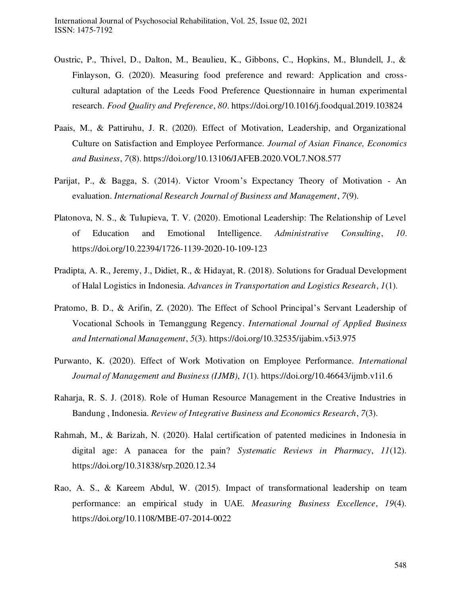- Oustric, P., Thivel, D., Dalton, M., Beaulieu, K., Gibbons, C., Hopkins, M., Blundell, J., & Finlayson, G. (2020). Measuring food preference and reward: Application and crosscultural adaptation of the Leeds Food Preference Questionnaire in human experimental research. *Food Quality and Preference*, *80*. https://doi.org/10.1016/j.foodqual.2019.103824
- Paais, M., & Pattiruhu, J. R. (2020). Effect of Motivation, Leadership, and Organizational Culture on Satisfaction and Employee Performance. *Journal of Asian Finance, Economics and Business*, *7*(8). https://doi.org/10.13106/JAFEB.2020.VOL7.NO8.577
- Parijat, P., & Bagga, S. (2014). Victor Vroom's Expectancy Theory of Motivation An evaluation. *International Research Journal of Business and Management*, *7*(9).
- Platonova, N. S., & Tulupieva, T. V. (2020). Emotional Leadership: The Relationship of Level of Education and Emotional Intelligence. *Administrative Consulting*, *10*. https://doi.org/10.22394/1726-1139-2020-10-109-123
- Pradipta, A. R., Jeremy, J., Didiet, R., & Hidayat, R. (2018). Solutions for Gradual Development of Halal Logistics in Indonesia. *Advances in Transportation and Logistics Research*, *1*(1).
- Pratomo, B. D., & Arifin, Z. (2020). The Effect of School Principal's Servant Leadership of Vocational Schools in Temanggung Regency. *International Journal of Applied Business and International Management*, *5*(3). https://doi.org/10.32535/ijabim.v5i3.975
- Purwanto, K. (2020). Effect of Work Motivation on Employee Performance. *International Journal of Management and Business (IJMB)*, *1*(1). https://doi.org/10.46643/ijmb.v1i1.6
- Raharja, R. S. J. (2018). Role of Human Resource Management in the Creative Industries in Bandung , Indonesia. *Review of Integrative Business and Economics Research*, *7*(3).
- Rahmah, M., & Barizah, N. (2020). Halal certification of patented medicines in Indonesia in digital age: A panacea for the pain? *Systematic Reviews in Pharmacy*, *11*(12). https://doi.org/10.31838/srp.2020.12.34
- Rao, A. S., & Kareem Abdul, W. (2015). Impact of transformational leadership on team performance: an empirical study in UAE. *Measuring Business Excellence*, *19*(4). https://doi.org/10.1108/MBE-07-2014-0022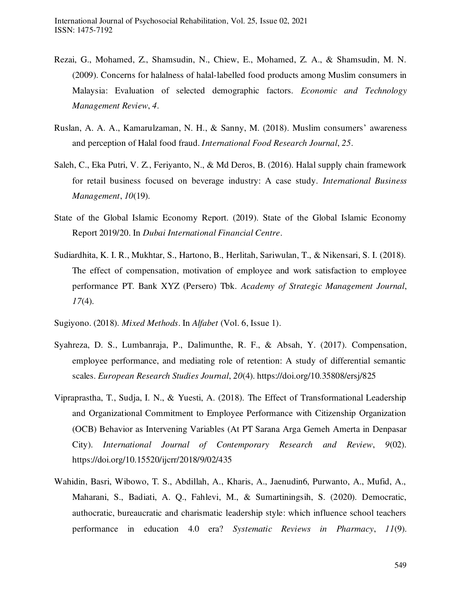- Rezai, G., Mohamed, Z., Shamsudin, N., Chiew, E., Mohamed, Z. A., & Shamsudin, M. N. (2009). Concerns for halalness of halal-labelled food products among Muslim consumers in Malaysia: Evaluation of selected demographic factors. *Economic and Technology Management Review*, *4*.
- Ruslan, A. A. A., Kamarulzaman, N. H., & Sanny, M. (2018). Muslim consumers' awareness and perception of Halal food fraud. *International Food Research Journal*, *25*.
- Saleh, C., Eka Putri, V. Z., Feriyanto, N., & Md Deros, B. (2016). Halal supply chain framework for retail business focused on beverage industry: A case study. *International Business Management*, *10*(19).
- State of the Global Islamic Economy Report. (2019). State of the Global Islamic Economy Report 2019/20. In *Dubai International Financial Centre*.
- Sudiardhita, K. I. R., Mukhtar, S., Hartono, B., Herlitah, Sariwulan, T., & Nikensari, S. I. (2018). The effect of compensation, motivation of employee and work satisfaction to employee performance PT. Bank XYZ (Persero) Tbk. *Academy of Strategic Management Journal*, *17*(4).
- Sugiyono. (2018). *Mixed Methods*. In *Alfabet* (Vol. 6, Issue 1).
- Syahreza, D. S., Lumbanraja, P., Dalimunthe, R. F., & Absah, Y. (2017). Compensation, employee performance, and mediating role of retention: A study of differential semantic scales. *European Research Studies Journal*, *20*(4). https://doi.org/10.35808/ersj/825
- Vipraprastha, T., Sudja, I. N., & Yuesti, A. (2018). The Effect of Transformational Leadership and Organizational Commitment to Employee Performance with Citizenship Organization (OCB) Behavior as Intervening Variables (At PT Sarana Arga Gemeh Amerta in Denpasar City). *International Journal of Contemporary Research and Review*, *9*(02). https://doi.org/10.15520/ijcrr/2018/9/02/435
- Wahidin, Basri, Wibowo, T. S., Abdillah, A., Kharis, A., Jaenudin6, Purwanto, A., Mufid, A., Maharani, S., Badiati, A. Q., Fahlevi, M., & Sumartiningsih, S. (2020). Democratic, authocratic, bureaucratic and charismatic leadership style: which influence school teachers performance in education 4.0 era? *Systematic Reviews in Pharmacy*, *11*(9).